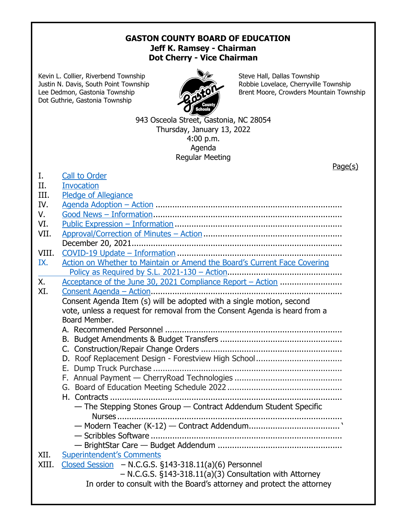## **GASTON COUNTY BOARD OF EDUCATION Jeff K. Ramsey - Chairman Dot Cherry - Vice Chairman**

Kevin L. Collier, Riverbend Township Steve Hall, Dallas Township Dot Guthrie, Gastonia Township



Justin N. Davis, South Point Township Robbie Lovelace, Cherryville Township Lee Dedmon, Gastonia Township **Brent Moore, Crowders Mountain Township** 

> 943 Osceola Street, Gastonia, NC 28054 Thursday, January 13, 2022 4:00 p.m. Agenda Regular Meeting

|             | Page(s)                                                                                     |
|-------------|---------------------------------------------------------------------------------------------|
| I.          | <b>Call to Order</b>                                                                        |
| II.         | <b>Invocation</b>                                                                           |
| III.        | <b>Pledge of Allegiance</b>                                                                 |
| IV.         |                                                                                             |
| $V_{\rm r}$ |                                                                                             |
| VI.         |                                                                                             |
| VII.        |                                                                                             |
|             |                                                                                             |
| VIII.       |                                                                                             |
| IX.         | Action on Whether to Maintain or Amend the Board's Current Face Covering                    |
|             |                                                                                             |
| Χ.          |                                                                                             |
| XI.         |                                                                                             |
|             | Consent Agenda Item (s) will be adopted with a single motion, second                        |
|             |                                                                                             |
|             | vote, unless a request for removal from the Consent Agenda is heard from a<br>Board Member. |
|             |                                                                                             |
|             |                                                                                             |
|             |                                                                                             |
|             |                                                                                             |
|             |                                                                                             |
|             |                                                                                             |
|             |                                                                                             |
|             |                                                                                             |
|             |                                                                                             |
|             | - The Stepping Stones Group - Contract Addendum Student Specific                            |
|             | Nurses                                                                                      |
|             |                                                                                             |
|             |                                                                                             |
|             |                                                                                             |
| XII.        | <b>Superintendent's Comments</b>                                                            |
| XIII.       | Closed Session $-$ N.C.G.S. §143-318.11(a)(6) Personnel                                     |
|             | - N.C.G.S. §143-318.11(a)(3) Consultation with Attorney                                     |
|             | In order to consult with the Board's attorney and protect the attorney                      |
|             |                                                                                             |